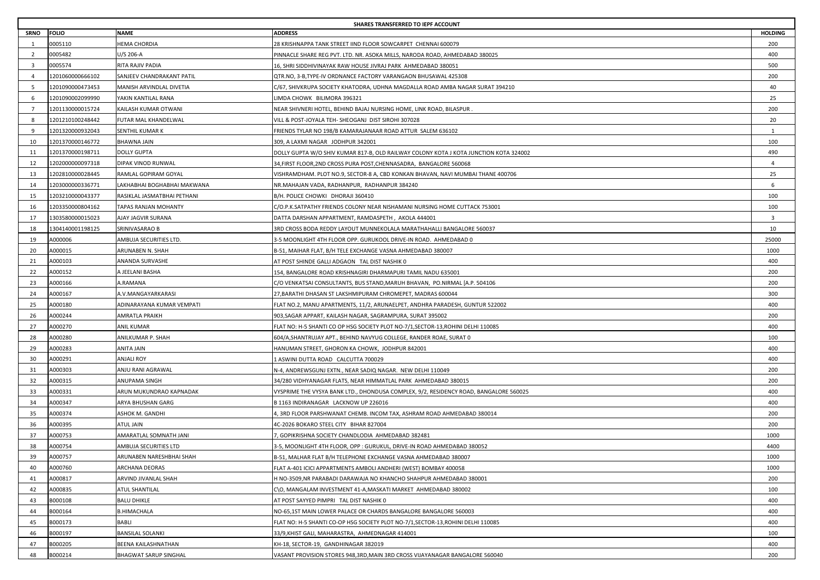|                | SHARES TRANSFERRED TO IEPF ACCOUNT |                              |                                                                                       |                         |  |
|----------------|------------------------------------|------------------------------|---------------------------------------------------------------------------------------|-------------------------|--|
| <b>SRNO</b>    | <b>FOLIO</b>                       | NAME                         | <b>ADDRESS</b>                                                                        | <b>HOLDING</b>          |  |
| $\overline{1}$ | 0005110                            | HEMA CHORDIA                 | 28 KRISHNAPPA TANK STREET IIND FLOOR SOWCARPET CHENNAI 600079                         | 200                     |  |
| 2              | 0005482                            | J/S 206-A                    | PINNACLE SHARE REG PVT. LTD. NR. ASOKA MILLS, NARODA ROAD, AHMEDABAD 380025           | 400                     |  |
| -3             | 0005574                            | RITA RAJIV PADIA             | 16, SHRI SIDDHIVINAYAK RAW HOUSE JIVRAJ PARK AHMEDABAD 380051                         | 500                     |  |
| $\overline{4}$ | 1201060000666102                   | SANJEEV CHANDRAKANT PATIL    | QTR.NO, 3-B,TYPE-IV ORDNANCE FACTORY VARANGAON BHUSAWAL 425308                        | 200                     |  |
| - 5            | 1201090000473453                   | MANISH ARVINDLAL DIVETIA     | C/67, SHIVKRUPA SOCIETY KHATODRA, UDHNA MAGDALLA ROAD AMBA NAGAR SURAT 394210         | 40                      |  |
| -6             | 1201090002099990                   | YAKIN KANTILAL RANA          | LIMDA CHOWK BILIMORA 396321                                                           | 25                      |  |
| $\overline{7}$ | 1201130000015724                   | KAILASH KUMAR OTWANI         | NEAR SHIVNERI HOTEL, BEHIND BAJAJ NURSING HOME, LINK ROAD, BILASPUR                   | 200                     |  |
| -8             | 1201210100248442                   | FUTAR MAL KHANDELWAL         | VILL & POST-JOYALA TEH- SHEOGANJ DIST SIROHI 307028                                   | 20                      |  |
| -9             | 1201320000932043                   | SENTHIL KUMAR K              | FRIENDS TYLAR NO 198/B KAMARAJANAAR ROAD ATTUR SALEM 636102                           | 1                       |  |
| 10             | 1201370000146772                   | BHAWNA JAIN                  | 309, A LAXMI NAGAR JODHPUR 342001                                                     | 100                     |  |
| 11             | 1201370000198711                   | <b>DOLLY GUPTA</b>           | DOLLY GUPTA W/O SHIV KUMAR 817-B, OLD RAILWAY COLONY KOTA J KOTA JUNCTION KOTA 324002 | 490                     |  |
| 12             | 1202000000097318                   | DIPAK VINOD RUNWAL           | 34, FIRST FLOOR, 2ND CROSS PURA POST, CHENNASADRA, BANGALORE 560068                   | $\overline{4}$          |  |
| 13             | 1202810000028445                   | RAMLAL GOPIRAM GOYAL         | VISHRAMDHAM. PLOT NO.9, SECTOR-8 A, CBD KONKAN BHAVAN, NAVI MUMBAI THANE 400706       | 25                      |  |
| 14             | 1203000000336771                   | LAKHABHAI BOGHABHAI MAKWANA  | NR.MAHAJAN VADA, RADHANPUR, RADHANPUR 384240                                          | 6                       |  |
| 15             | 1203210000043377                   | RASIKLAL JASMATBHAI PETHANI  | B/H. POLICE CHOWKI DHORAJI 360410                                                     | 100                     |  |
| 16             | 1203350000804162                   | TAPAS RANJAN MOHANTY         | C/O.P.K.SATPATHY FRIENDS COLONY NEAR NISHAMANI NURSING HOME CUTTACK 753001            | 100                     |  |
| 17             | 1303580000015023                   | AJAY JAGVIR SURANA           | DATTA DARSHAN APPARTMENT, RAMDASPETH, AKOLA 444001                                    | $\overline{\mathbf{3}}$ |  |
| 18             | 1304140001198125                   | SRINIVASARAO B               | 3RD CROSS BODA REDDY LAYOUT MUNNEKOLALA MARATHAHALLI BANGALORE 560037                 | 10                      |  |
| 19             | A000006                            | AMBUJA SECURITIES LTD.       | 3-5 MOONLIGHT 4TH FLOOR OPP. GURUKOOL DRIVE-IN ROAD. AHMEDABAD 0                      | 25000                   |  |
| 20             | A000015                            | ARUNABEN N. SHAH             | B-51, MAIHAR FLAT, B/H TELE EXCHANGE VASNA AHMEDABAD 380007                           | 1000                    |  |
| 21             | A000103                            | ANANDA SURVASHE              | AT POST SHINDE GALLI ADGAON TAL DIST NASHIK 0                                         | 400                     |  |
| 22             | A000152                            | A JEELANI BASHA              | 154, BANGALORE ROAD KRISHNAGIRI DHARMAPURI TAMIL NADU 635001                          | 200                     |  |
| 23             | A000166                            | A.RAMANA                     | C/O VENKATSAI CONSULTANTS, BUS STAND,MARUH BHAVAN,  PO.NIRMAL [A.P. 504106            | 200                     |  |
| 24             | A000167                            | A.V.MANGAYARKARASI           | 27,BARATHI DHASAN ST LAKSHMIPURAM CHROMEPET, MADRAS 600044                            | 300                     |  |
| 25             | A000180                            | ADINARAYANA KUMAR VEMPATI    | FLAT NO.2, MANU APARTMENTS, 11/2, ARUNAELPET, ANDHRA PARADESH, GUNTUR 522002          | 400                     |  |
| 26             | A000244                            | AMRATLA PRAIKH               | 903, SAGAR APPART, KAILASH NAGAR, SAGRAMPURA, SURAT 395002                            | 200                     |  |
| 27             | A000270                            | <b>ANIL KUMAR</b>            | FLAT NO: H-5 SHANTI CO OP HSG SOCIETY PLOT NO-7/1, SECTOR-13, ROHINI DELHI 110085     | 400                     |  |
| 28             | A000280                            | ANILKUMAR P. SHAH            | 604/A, SHANTRUJAY APT., BEHIND NAVYUG COLLEGE, RANDER ROAE, SURAT 0                   | 100                     |  |
| 29             | A000283                            | ANITA JAIN                   | HANUMAN STREET, GHORON KA CHOWK, JODHPUR 842001                                       | 400                     |  |
| 30             | A000291                            | ANJALI ROY                   | 1 ASWINI DUTTA ROAD CALCUTTA 700029                                                   | 400                     |  |
| 31             | A000303                            | ANJU RANI AGRAWAL            | N-4, ANDREWSGUNJ EXTN., NEAR SADIQ NAGAR. NEW DELHI 110049                            | 200                     |  |
| 32             | A000315                            | ANUPAMA SINGH                | 34/280 VIDHYANAGAR FLATS, NEAR HIMMATLAL PARK AHMEDABAD 380015                        | 200                     |  |
| 33             | A000331                            | ARUN MUKUNDRAO KAPNADAK      | VYSPRIME THE VYSYA BANK LTD., DHONDUSA COMPLEX, 9/2, RESIDENCY ROAD, BANGALORE 560025 | 400                     |  |
| 34             | A000347                            | ARYA BHUSHAN GARG            | B 1163 INDIRANAGAR LACKNOW UP 226016                                                  | 400                     |  |
| 35             | A000374                            | ASHOK M. GANDHI              | 4, 3RD FLOOR PARSHWANAT CHEMB. INCOM TAX, ASHRAM ROAD AHMEDABAD 380014                | 200                     |  |
| 36             | A000395                            | <b>ATUL JAIN</b>             | 4C-2026 BOKARO STEEL CITY BIHAR 827004                                                | 200                     |  |
| 37             | A000753                            | AMARATLAL SOMNATH JANI       | , GOPIKRISHNA SOCIETY CHANDLODIA AHMEDABAD 382481                                     | 1000                    |  |
| 38             | A000754                            |                              | 3-5, MOONLIGHT 4TH FLOOR, OPP : GURUKUL, DRIVE-IN ROAD AHMEDABAD 380052               | 4400                    |  |
|                |                                    | AMBUJA SECURITIES LTD        |                                                                                       |                         |  |
| 39             | A000757<br>A000760                 | ARUNABEN NARESHBHAI SHAH     | B-51, MALHAR FLAT B/H TELEPHONE EXCHANGE VASNA AHMEDABAD 380007                       | 1000<br>1000            |  |
| 40             |                                    | ARCHANA DEORAS               | FLAT A-401 ICICI APPARTMENTS AMBOLI ANDHERI (WEST) BOMBAY 400058                      |                         |  |
| 41             | A000817                            | ARVIND JIVANLAL SHAH         | H NO-3509, NR PARABADI DARAWAJA NO KHANCHO SHAHPUR AHMEDABAD 380001                   | 200                     |  |
| 42             | A000835                            | ATUL SHANTILAL               | C\O, MANGALAM INVESTMENT 41-A, MASKATI MARKET AHMEDABAD 380002                        | 100                     |  |
| 43             | B000108                            | <b>BALU DHIKLE</b>           | AT POST SAYYED PIMPRI TAL DIST NASHIK 0                                               | 400                     |  |
| 44             | B000164                            | <b>B.HIMACHALA</b>           | NO-65,1ST MAIN LOWER PALACE OR CHARDS BANGALORE BANGALORE 560003                      | 400                     |  |
| 45             | B000173                            | BABLI                        | FLAT NO: H-5 SHANTI CO-OP HSG SOCIETY PLOT NO-7/1, SECTOR-13, ROHINI DELHI 110085     | 400                     |  |
| 46             | B000197                            | <b>BANSILAL SOLANKI</b>      | 33/9,KHIST GALI, MAHARASTRA, AHMEDNAGAR 414001                                        | 100                     |  |
| 47             | B000205                            | BEENA KAILASHNATHAN          | KH-18, SECTOR-19, GANDHINAGAR 382019                                                  | 400                     |  |
| 48             | B000214                            | <b>BHAGWAT SARUP SINGHAL</b> | VASANT PROVISION STORES 948,3RD, MAIN 3RD CROSS VIJAYANAGAR BANGALORE 560040          | 200                     |  |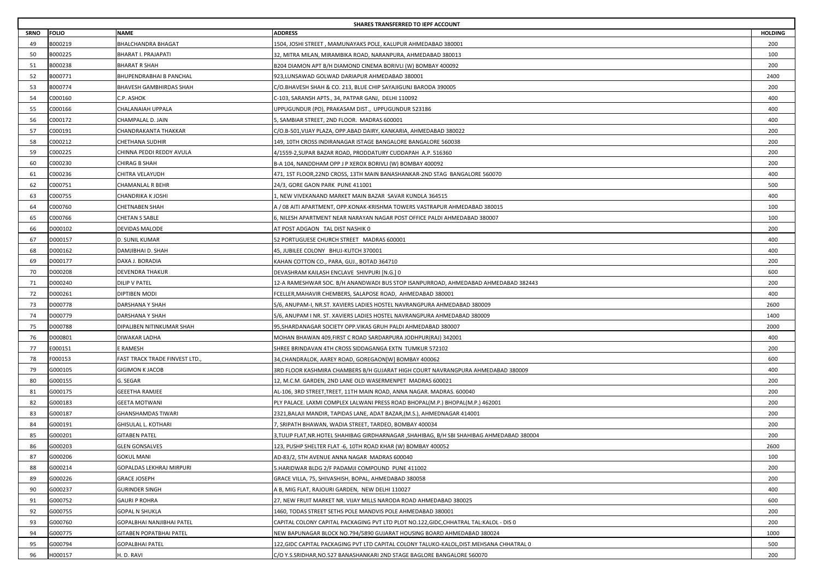|             | SHARES TRANSFERRED TO IEPF ACCOUNT |                                 |                                                                                           |                |  |
|-------------|------------------------------------|---------------------------------|-------------------------------------------------------------------------------------------|----------------|--|
| <b>SRNO</b> | <b>FOLIO</b>                       | NAME                            | <b>ADDRESS</b>                                                                            | <b>HOLDING</b> |  |
| 49          | B000219                            | BHALCHANDRA BHAGAT              | 1504, JOSHI STREET , MAMUNAYAKS POLE, KALUPUR AHMEDABAD 380001                            | 200            |  |
| 50          | B000225                            | BHARAT I. PRAJAPATI             | 32, MITRA MILAN, MIRAMBIKA ROAD, NARANPURA, AHMEDABAD 380013                              | 100            |  |
| 51          | B000238                            | BHARAT R SHAH                   | B204 DIAMON APT B/H DIAMOND CINEMA BORIVLI (W) BOMBAY 400092                              | 200            |  |
| 52          | B000771                            | BHUPENDRABHAI B PANCHAL         | 923, LUNSAWAD GOLWAD DARIAPUR AHMEDABAD 380001                                            | 2400           |  |
| 53          | B000774                            | BHAVESH GAMBHIRDAS SHAH         | C/O.BHAVESH SHAH & CO. 213, BLUE CHIP SAYAJIGUNJ BARODA 390005                            | 200            |  |
| 54          | C000160                            | C.P. ASHOK                      | C-103, SARANSH APTS., 34, PATPAR GANJ, DELHI 110092                                       | 400            |  |
| 55          | C000166                            | CHALANAIAH UPPALA               | UPPUGUNDUR (PO), PRAKASAM DIST., UPPUGUNDUR 523186                                        | 400            |  |
| 56          | C000172                            | CHAMPALAL D. JAIN               | , SAMBIAR STREET, 2ND FLOOR. MADRAS 600001                                                | 400            |  |
| 57          | C000191                            | CHANDRAKANTA THAKKAR            | C/O.B-501,VIJAY PLAZA, OPP.ABAD DAIRY, KANKARIA, AHMEDABAD 380022                         | 200            |  |
| 58          | C000212                            | CHETHANA SUDHIR                 | 149, 10TH CROSS INDIRANAGAR ISTAGE BANGALORE BANGALORE 560038                             | 200            |  |
| 59          | C000225                            | CHINNA PEDDI REDDY AVULA        | 4/1559-2, SUPAR BAZAR ROAD, PRODDATURY CUDDAPAH A.P. 516360                               | 200            |  |
| 60          | C000230                            | CHIRAG B SHAH                   | B-A 104, NANDDHAM OPP J P XEROX BORIVLI (W) BOMBAY 400092                                 | 200            |  |
| 61          | C000236                            | CHITRA VELAYUDH                 | 471, 1ST FLOOR, 22ND CROSS, 13TH MAIN BANASHANKAR-2ND STAG BANGALORE 560070               | 400            |  |
| 62          | C000751                            | CHAMANLAL R BEHR                | 24/3, GORE GAON PARK PUNE 411001                                                          | 500            |  |
| 63          | C000755                            | CHANDRIKA K JOSHI               | I, NEW VIVEKANAND MARKET MAIN BAZAR SAVAR KUNDLA 364515                                   | 400            |  |
| 64          | C000760                            | CHETNABEN SHAH                  | A / 08 AITI APARTMENT, OPP.KONAK-KRISHMA TOWERS VASTRAPUR AHMEDABAD 380015                | 100            |  |
| 65          | C000766                            | CHETAN S SABLE                  | 6, NILESH APARTMENT NEAR NARAYAN NAGAR POST OFFICE PALDI AHMEDABAD 380007                 | 100            |  |
| 66          | D000102                            | <b>DEVIDAS MALODE</b>           | AT POST ADGAON TAL DIST NASHIK 0                                                          | 200            |  |
| 67          | D000157                            | D. SUNIL KUMAR                  | 52 PORTUGUESE CHURCH STREET MADRAS 600001                                                 | 400            |  |
| 68          | D000162                            | DAMJIBHAI D. SHAH               | 45, JUBILEE COLONY BHUJ-KUTCH 370001                                                      | 400            |  |
| 69          | D000177                            | DAXA J. BORADIA                 | KAHAN COTTON CO., PARA, GUJ., BOTAD 364710                                                | 200            |  |
| 70          | D000208                            | <b>DEVENDRA THAKUR</b>          | DEVASHRAM KAILASH ENCLAVE SHIVPURI [N.G.] 0                                               | 600            |  |
| 71          | D000240                            | <b>DILIP V PATEL</b>            | 12-A RAMESHWAR SOC. B/H ANANDWADI BUS STOP ISANPURROAD, AHMEDABAD AHMEDABAD 382443        | 200            |  |
| 72          | D000261                            | DIPTIBEN MODI                   | FCELLER, MAHAVIR CHEMBERS, SALAPOSE ROAD, AHMEDABAD 380001                                | 400            |  |
| 73          | D000778                            | DARSHANA Y SHAH                 | S/6, ANUPAM-I, NR.ST. XAVIERS LADIES HOSTEL NAVRANGPURA AHMEDABAD 380009                  | 2600           |  |
| 74          | D000779                            | DARSHANA Y SHAH                 | S/6, ANUPAM I NR. ST. XAVIERS LADIES HOSTEL NAVRANGPURA AHMEDABAD 380009                  | 1400           |  |
| 75          | D000788                            | DIPALIBEN NITINKUMAR SHAH       | 95, SHARDANAGAR SOCIETY OPP. VIKAS GRUH PALDI AHMEDABAD 380007                            | 2000           |  |
| 76          | D000801                            | DIWAKAR LADHA                   | MOHAN BHAWAN 409, FIRST C ROAD SARDARPURA JODHPUR(RAJ) 342001                             | 400            |  |
| 77          | E000151                            | E RAMESH                        | SHREE BRINDAVAN 4TH CROSS SIDDAGANGA EXTN TUMKUR 572102                                   | 200            |  |
| 78          | F000153                            | FAST TRACK TRADE FINVEST LTD.   | 34, CHANDRALOK, AAREY ROAD, GOREGAON[W] BOMBAY 400062                                     | 600            |  |
| 79          | G000105                            | GIGIMON K JACOB                 | 3RD FLOOR KASHMIRA CHAMBERS B/H GUJARAT HIGH COURT NAVRANGPURA AHMEDABAD 380009           | 400            |  |
| 80          | G000155                            | G. SEGAR                        | 12, M.C.M. GARDEN, 2ND LANE OLD WASERMENPET MADRAS 600021                                 | 200            |  |
| 81          | G000175                            | <b>GEEETHA RAMJEE</b>           | AL-106, 3RD STREET,TREET, 11TH MAIN ROAD, ANNA NAGAR. MADRAS. 600040                      | 200            |  |
| 82          | G000183                            | GEETA MOTWANI                   | PLY PALACE. LAXMI COMPLEX LALWANI PRESS ROAD BHOPAL(M.P.) BHOPAL(M.P.) 462001             | 200            |  |
| 83          | G000187                            | GHANSHAMDAS TIWARI              | 2321, BALAJI MANDIR, TAPIDAS LANE, ADAT BAZAR, (M.S.), AHMEDNAGAR 414001                  | 200            |  |
| 84          | G000191                            | GHISULAL L. KOTHARI             | , SRIPATH BHAWAN, WADIA STREET, TARDEO, BOMBAY 400034                                     | 200            |  |
| 85          | G000201                            | <b>GITABEN PATEL</b>            | 3,TULIP FLAT,NR.HOTEL SHAHIBAG GIRDHARNAGAR ,SHAHIBAG, B/H SBI SHAHIBAG AHMEDABAD 380004  | 200            |  |
| 86          | G000203                            | GLEN GONSALVES                  | 123, PUSHP SHELTER FLAT -6, 10TH ROAD KHAR (W) BOMBAY 400052                              | 2600           |  |
| 87          | G000206                            | <b>GOKUL MANI</b>               | AD-83/2, 5TH AVENUE ANNA NAGAR MADRAS 600040                                              | 100            |  |
| 88          | G000214                            | <b>GOPALDAS LEKHRAJ MIRPURI</b> | 5.HARIDWAR BLDG 2/F PADAMJI COMPOUND PUNE 411002                                          | 200            |  |
| 89          | G000226                            | <b>GRACE JOSEPH</b>             | GRACE VILLA, 75, SHIVASHISH, BOPAL, AHMEDABAD 380058                                      | 200            |  |
| 90          | G000237                            | GURINDER SINGH                  | A B, MIG FLAT, RAJOURI GARDEN, NEW DELHI 110027                                           | 400            |  |
| 91          | G000752                            | <b>GAURI P ROHRA</b>            | 27, NEW FRUIT MARKET NR. VIJAY MILLS NARODA ROAD AHMEDABAD 380025                         | 600            |  |
| 92          | G000755                            | GOPAL N SHUKLA                  | 1460, TODAS STREET SETHS POLE MANDVIS POLE AHMEDABAD 380001                               | 200            |  |
| 93          | G000760                            | GOPALBHAI NANJIBHAI PATEL       | CAPITAL COLONY CAPITAL PACKAGING PVT LTD PLOT NO.122,GIDC,CHHATRAL TAL:KALOL - DIS 0      | 200            |  |
| 94          | G000775                            | GITABEN POPATBHAI PATEL         | NEW BAPUNAGAR BLOCK NO.794/5890 GUJARAT HOUSING BOARD AHMEDABAD 380024                    | 1000           |  |
| 95          | G000794                            | GOPALBHAI PATEL                 | 122, GIDC CAPITAL PACKAGING PVT LTD CAPITAL COLONY TALUKO-KALOL, DIST. MEHSANA CHHATRAL 0 | 500            |  |
| 96          | H000157                            | H. D. RAVI                      | C/O Y.S.SRIDHAR, NO.527 BANASHANKARI 2ND STAGE BAGLORE BANGALORE 560070                   | 200            |  |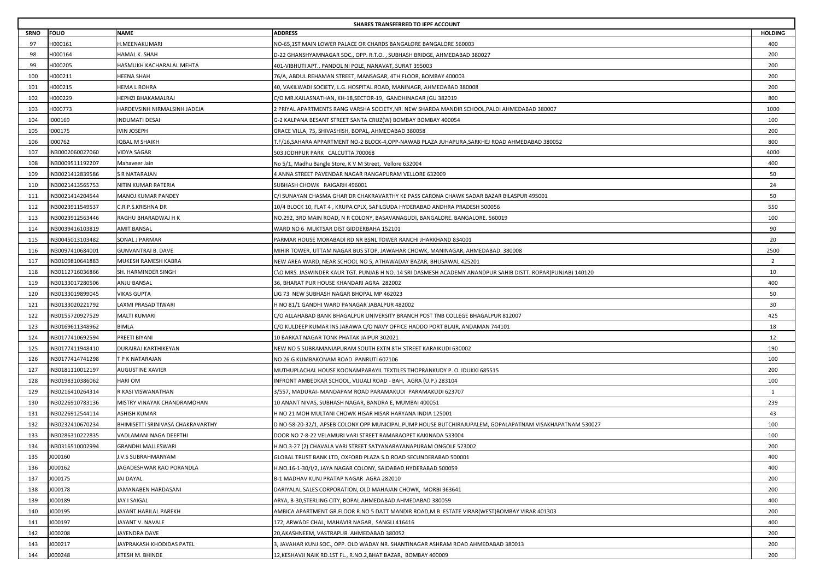|             | SHARES TRANSFERRED TO IEPF ACCOUNT |                                   |                                                                                                             |                |  |
|-------------|------------------------------------|-----------------------------------|-------------------------------------------------------------------------------------------------------------|----------------|--|
| <b>SRNO</b> | FOLIO                              | NAME                              | <b>ADDRESS</b>                                                                                              | <b>HOLDING</b> |  |
| 97          | H000161                            | H.MEENAKUMARI                     | NO-65,1ST MAIN LOWER PALACE OR CHARDS BANGALORE BANGALORE 560003                                            | 400            |  |
| 98          | 1000164                            | HAMAL K. SHAH                     | D-22 GHANSHYAMNAGAR SOC., OPP. R.T.O. , SUBHASH BRIDGE, AHMEDABAD 380027                                    | 200            |  |
| 99          | 1000205                            | HASMUKH KACHARALAL MEHTA          | 401-VIBHUTI APT., PANDOL NI POLE, NANAVAT, SURAT 395003                                                     | 200            |  |
| 100         | H000211                            | HEENA SHAH                        | 76/A, ABDUL REHAMAN STREET, MANSAGAR, 4TH FLOOR, BOMBAY 400003                                              | 200            |  |
| 101         | H000215                            | HEMA L ROHRA                      | 40, VAKILWADI SOCIETY, L.G. HOSPITAL ROAD, MANINAGR, AHMEDABAD 380008                                       | 200            |  |
| 102         | 1000229                            | HEPHZI BHAKAMALRAJ                | C/O MR.KAILASNATHAN, KH-18,SECTOR-19, GANDHINAGAR (GU 382019                                                | 800            |  |
| 103         | H000773                            | HARDEVSINH NIRMALSINH JADEJA      | 2 PRIYAL APARTMENTS RANG VARSHA SOCIETY,NR. NEW SHARDA MANDIR SCHOOL,PALDI AHMEDABAD 380007                 | 1000           |  |
| 104         | 000169                             | INDUMATI DESAI                    | G-2 KALPANA BESANT STREET SANTA CRUZ(W) BOMBAY BOMBAY 400054                                                | 100            |  |
| 105         | 000175                             | VIN JOSEPH                        | GRACE VILLA, 75, SHIVASHISH, BOPAL, AHMEDABAD 380058                                                        | 200            |  |
| 106         | 000762                             | QBAL M SHAIKH                     | T.F/16,SAHARA APPARTMENT NO-2 BLOCK-4,OPP-NAWAB PLAZA JUHAPURA,SARKHEJ ROAD AHMEDABAD 380052                | 800            |  |
| 107         | IN30002060027060                   | VIDYA SAGAR                       | 503 JODHPUR PARK CALCUTTA 700068                                                                            | 4000           |  |
| 108         | IN30009511192207                   | Mahaveer Jain                     | No 5/1, Madhu Bangle Store, K V M Street, Vellore 632004                                                    | 400            |  |
| 109         | IN30021412839586                   | S R NATARAJAN                     | 4 ANNA STREET PAVENDAR NAGAR RANGAPURAM VELLORE 632009                                                      | 50             |  |
| 110         | IN30021413565753                   | NITIN KUMAR RATERIA               | SUBHASH CHOWK RAIGARH 496001                                                                                | 24             |  |
| 111         | IN30021414204544                   | MANOJ KUMAR PANDEY                | C/I SUNAYAN CHASMA GHAR DR CHAKRAVARTHY KE PASS CARONA CHAWK SADAR BAZAR BILASPUR 495001                    | 50             |  |
| 112         | N30023911549537                    | C.R.P.S.KRISHNA DR                | 10/4 BLOCK 10, FLAT 4 , KRUPA CPLX, SAFILGUDA HYDERABAD ANDHRA PRADESH 500056                               | 550            |  |
| 113         | IN30023912563446                   | RAGHU BHARADWAJ H K               | NO.292, 3RD MAIN ROAD, N R COLONY, BASAVANAGUDI, BANGALORE. BANGALORE. 560019                               | 100            |  |
| 114         | IN30039416103819                   | AMIT BANSAL                       | WARD NO 6 MUKTSAR DIST GIDDERBAHA 152101                                                                    | 90             |  |
| 115         | IN30045013103482                   | SONAL J PARMAR                    | PARMAR HOUSE MORABADI RD NR BSNL TOWER RANCHI JHARKHAND 834001                                              | 20             |  |
| 116         | IN30097410684001                   | GUNVANTRAI B. DAVE                | MIHIR TOWER, UTTAM NAGAR BUS STOP, JAWAHAR CHOWK, MANINAGAR, AHMEDABAD. 380008                              | 2500           |  |
| 117         | IN30109810641883                   | MUKESH RAMESH KABRA               | NEW AREA WARD, NEAR SCHOOL NO 5, ATHAWADAY BAZAR, BHUSAWAL 425201                                           | $\overline{2}$ |  |
| 118         | IN30112716036866                   | SH. HARMINDER SINGH               | C\O MRS. JASWINDER KAUR TGT. PUNJAB H NO. 14 SRI DASMESH ACADEMY ANANDPUR SAHIB DISTT. ROPAR(PUNJAB) 140120 | 10             |  |
| 119         | IN30133017280506                   | ANJU BANSAL                       | 36, BHARAT PUR HOUSE KHANDARI AGRA 282002                                                                   | 400            |  |
| 120         | IN30133019899045                   | VIKAS GUPTA                       | IG 73 NEW SUBHASH NAGAR BHOPAL MP 462023                                                                    | 50             |  |
| 121         | IN30133020221792                   | LAXMI PRASAD TIWARI               | H NO 81/1 GANDHI WARD PANAGAR JABALPUR 482002                                                               | 30             |  |
| 122         | IN30155720927529                   | MALTI KUMARI                      | C/O ALLAHABAD BANK BHAGALPUR UNIVERSITY BRANCH POST TNB COLLEGE BHAGALPUR 812007                            | 425            |  |
| 123         | IN30169611348962                   | BIMLA                             | C/O KULDEEP KUMAR INS JARAWA C/O NAVY OFFICE HADDO PORT BLAIR, ANDAMAN 744101                               | 18             |  |
| 124         | IN30177410692594                   | PREETI BIYANI                     | 10 BARKAT NAGAR TONK PHATAK JAIPUR 302021                                                                   | 12             |  |
| 125         | IN30177411948410                   | DURAIRAJ KARTHIKEYAN              | NEW NO 5 SUBRAMANIAPURAM SOUTH EXTN 8TH STREET KARAIKUDI 630002                                             | 190            |  |
| 126         | IN30177414741298                   | T P K NATARAJAN                   | NO 26 G KUMBAKONAM ROAD PANRUTI 607106                                                                      | 100            |  |
| 127         | IN30181110012197                   | AUGUSTINE XAVIER                  | MUTHUPLACHAL HOUSE KOONAMPARAYIL TEXTILES THOPRANKUDY P. O. IDUKKI 685515                                   | 200            |  |
| 128         | IN30198310386062                   | HARI OM                           | INFRONT AMBEDKAR SCHOOL, VIJUALI ROAD - BAH, AGRA (U.P.) 283104                                             | 100            |  |
| 129         | IN30216410264314                   | R KASI VISWANATHAN                | 3/557, MADURAI- MANDAPAM ROAD PARAMAKUDI PARAMAKUDI 623707                                                  | 1              |  |
| 130         | IN30226910783136                   | MISTRY VINAYAK CHANDRAMOHAN       | 10 ANANT NIVAS, SUBHASH NAGAR, BANDRA E, MUMBAI 400051                                                      | 239            |  |
| 131         | IN30226912544114                   | ASHISH KUMAR                      | H NO 21 MOH MULTANI CHOWK HISAR HISAR HARYANA INDIA 125001                                                  | 43             |  |
| 132         | IN30232410670234                   | BHIMISETTI SRINIVASA CHAKRAVARTHY | D NO-58-20-32/1, APSEB COLONY OPP MUNICIPAL PUMP HOUSE BUTCHIRAJUPALEM, GOPALAPATNAM VISAKHAPATNAM 530027   | 100            |  |
| 133         | IN30286310222835                   | VADLAMANI NAGA DEEPTHI            | DOOR NO 7-8-22 VELAMURI VARI STREET RAMARAOPET KAKINADA 533004                                              | 100            |  |
| 134         | IN30316510002994                   | GRANDHI MALLESWARI                | H.NO.3-27 (2) CHAVALA VARI STREET SATYANARAYANAPURAM ONGOLE 523002                                          | 200            |  |
| 135         | J000160                            | J.V.S SUBRAHMANYAM                | GLOBAL TRUST BANK LTD, OXFORD PLAZA S.D.ROAD SECUNDERABAD 500001                                            | 400            |  |
| 136         | J000162                            | JAGADESHWAR RAO PORANDLA          | H.NO.16-1-30/I/2, JAYA NAGAR COLONY, SAIDABAD HYDERABAD 500059                                              | 400            |  |
| 137         | J000175                            | JAI DAYAL                         | B-1 MADHAV KUNJ PRATAP NAGAR AGRA 282010                                                                    | 200            |  |
| 138         | 1000178                            | <b>IAMANABEN HARDASANI</b>        | DARIYALAL SALES CORPORATION, OLD MAHAJAN CHOWK, MORBI 363641                                                | 200            |  |
| 139         | 1000189                            | <b>JAY I SAIGAL</b>               | ARYA, B-30.STERLING CITY, BOPAL AHMEDABAD AHMEDABAD 380059                                                  | 400            |  |
| 140         | J000195                            | JAYANT HARILAL PAREKH             | AMBICA APARTMENT GR.FLOOR R.NO 5 DATT MANDIR ROAD,M.B. ESTATE VIRAR(WEST)BOMBAY VIRAR 401303                | 200            |  |
| 141         | 1000197                            | IAYANT V. NAVALE                  | 172, ARWADE CHAL, MAHAVIR NAGAR, SANGLI 416416                                                              | 400            |  |
| 142         | 1000208                            | <b>IAYENDRA DAVE</b>              | 20,AKASHNEEM, VASTRAPUR AHMEDABAD 380052                                                                    | 200            |  |
| 143         | J000217                            | JAYPRAKASH KHODIDAS PATEL         | 3, JAVAHAR KUNJ SOC., OPP. OLD WADAY NR. SHANTINAGAR ASHRAM ROAD AHMEDABAD 380013                           | 200            |  |
| 144         | J000248                            | JITESH M. BHINDE                  | 12, KESHAVJI NAIK RD.1ST FL., R.NO.2, BHAT BAZAR, BOMBAY 400009                                             | 200            |  |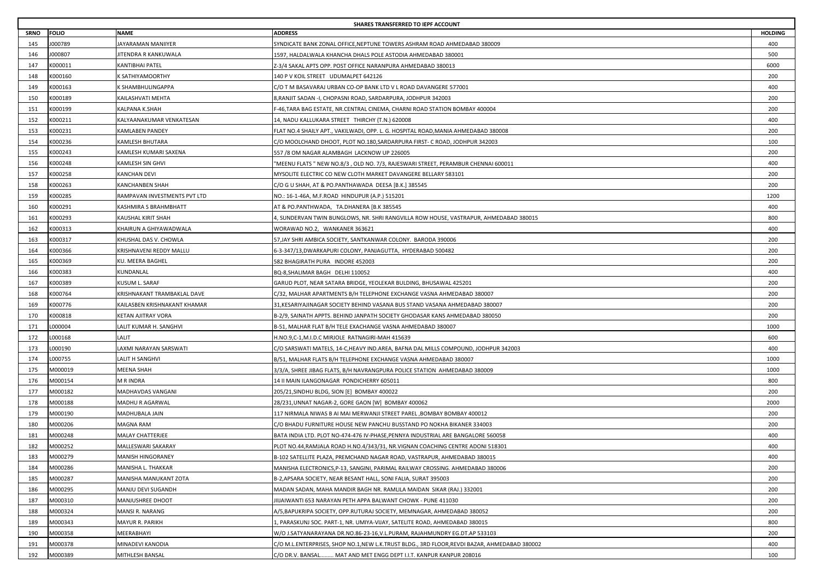|             | SHARES TRANSFERRED TO IEPF ACCOUNT |                              |                                                                                             |                |  |
|-------------|------------------------------------|------------------------------|---------------------------------------------------------------------------------------------|----------------|--|
| <b>SRNO</b> | <b>FOLIO</b>                       | <b>NAME</b>                  | <b>ADDRESS</b>                                                                              | <b>HOLDING</b> |  |
| 145         | J000789                            | JAYARAMAN MANIIYER           | SYNDICATE BANK ZONAL OFFICE.NEPTUNE TOWERS ASHRAM ROAD AHMEDABAD 380009                     | 400            |  |
| 146         | J000807                            | JITENDRA R KANKUWALA         | 1597, HALDALWALA KHANCHA DHALS POLE ASTODIA AHMEDABAD 380001                                | 500            |  |
| 147         | K000011                            | <b>KANTIBHAI PATEL</b>       | Z-3/4 SAKAL APTS OPP. POST OFFICE NARANPURA AHMEDABAD 380013                                | 6000           |  |
| 148         | K000160                            | K SATHIYAMOORTHY             | 140 P V KOIL STREET UDUMALPET 642126                                                        | 200            |  |
| 149         | K000163                            | K SHAMBHULINGAPPA            | C/O T M BASAVARAJ URBAN CO-OP BANK LTD V L ROAD DAVANGERE 577001                            | 400            |  |
| 150         | K000189                            | KAILASHVATI MEHTA            | 8,RANJIT SADAN -I, CHOPASNI ROAD, SARDARPURA, JODHPUR 342003                                | 200            |  |
| 151         | K000199                            | KALPANA K.SHAH               | -46,TARA BAG ESTATE, NR.CENTRAL CINEMA, CHARNI ROAD STATION BOMBAY 400004                   | 200            |  |
| 152         | K000211                            | KALYAANAKUMAR VENKATESAN     | 14, NADU KALLUKARA STREET THIRCHY (T.N.) 620008                                             | 400            |  |
| 153         | K000231                            | <b>KAMLABEN PANDEY</b>       | FLAT NO.4 SHAILY APT., VAKILWADI, OPP. L. G. HOSPITAL ROAD,MANIA AHMEDABAD 380008           | 200            |  |
| 154         | K000236                            | KAMLESH BHUTARA              | C/O MOOLCHAND DHOOT, PLOT NO.180,SARDARPURA FIRST- C ROAD, JODHPUR 342003                   | 100            |  |
| 155         | K000243                            | KAMLESH KUMARI SAXENA        | 557 /8 OM NAGAR ALAMBAGH LACKNOW UP 226005                                                  | 200            |  |
| 156         | K000248                            | KAMLESH SIN GHVI             | 'MEENU FLATS " NEW NO.8/3 , OLD NO. 7/3, RAJESWARI STREET, PERAMBUR CHENNAI 600011          | 400            |  |
| 157         | K000258                            | <b>KANCHAN DEVI</b>          | MYSOLITE ELECTRIC CO NEW CLOTH MARKET DAVANGERE BELLARY 583101                              | 200            |  |
| 158         | K000263                            | <b>KANCHANBEN SHAH</b>       | C/O G U SHAH, AT & PO.PANTHAWADA DEESA [B.K.] 385545                                        | 200            |  |
| 159         | K000285                            | RAMPAVAN INVESTMENTS PVT LTD | NO.: 16-1-46A, M.F.ROAD HINDUPUR (A.P.) 515201                                              | 1200           |  |
| 160         | K000291                            | KASHMIRA S BRAHMBHATT        | AT & PO.PANTHWADA,   TA.DHANERA [B.K 385545                                                 | 400            |  |
| 161         | K000293                            | KAUSHAL KIRIT SHAH           | I, SUNDERVAN TWIN BUNGLOWS, NR. SHRI RANGVILLA ROW HOUSE, VASTRAPUR, AHMEDABAD 380015       | 800            |  |
| 162         | K000313                            | KHAIRUN A GHIYAWADWALA       | WORAWAD NO.2, WANKANER 363621                                                               | 400            |  |
| 163         | K000317                            | KHUSHAL DAS V. CHOWLA        | 57,JAY SHRI AMBICA SOCIETY, SANTKANWAR COLONY. BARODA 390006                                | 200            |  |
| 164         | K000366                            | KRISHNAVENI REDDY MALLU      | 6-3-347/13,DWARKAPURI COLONY, PANJAGUTTA, HYDERABAD 500482                                  | 200            |  |
| 165         | K000369                            | KU. MEERA BAGHEL             | 582 BHAGIRATH PURA INDORE 452003                                                            | 200            |  |
| 166         | K000383                            | KUNDANLAL                    | BQ-8, SHALIMAR BAGH DELHI 110052                                                            | 400            |  |
| 167         | K000389                            | KUSUM L. SARAF               | GARUD PLOT, NEAR SATARA BRIDGE, YEOLEKAR BULDING, BHUSAWAL 425201                           | 200            |  |
| 168         | 〈000764                            | KRISHNAKANT TRAMBAKLAL DAVE  | C/32, MALHAR APARTMENTS B/H TELEPHONE EXCHANGE VASNA AHMEDABAD 380007                       | 200            |  |
| 169         | K000776                            | KAILASBEN KRISHNAKANT KHAMAR | 31,KESARIYAJINAGAR SOCIETY BEHIND VASANA BUS STAND VASANA AHMEDABAD 380007                  | 200            |  |
| 170         | K000818                            | KETAN AJITRAY VORA           | B-2/9, SAINATH APPTS. BEHIND JANPATH SOCIETY GHODASAR KANS AHMEDABAD 380050                 | 200            |  |
| 171         | L000004                            | LALIT KUMAR H. SANGHVI       | B-51, MALHAR FLAT B/H TELE EXACHANGE VASNA AHMEDABAD 380007                                 | 1000           |  |
| 172         | L000168                            | LALIT                        | H.NO.9,C-1,M.I.D.C MIRJOLE RATNAGIRI-MAH 415639                                             | 600            |  |
| 173         | L000190                            | LAXMI NARAYAN SARSWATI       | C/O SARSWATI MATELS, 14-C,HEAVY IND.AREA, BAFNA DAL MILLS COMPOUND, JODHPUR 342003          | 400            |  |
| 174         | L000755                            | <b>LALIT H SANGHVI</b>       | B/51, MALHAR FLATS B/H TELEPHONE EXCHANGE VASNA AHMEDABAD 380007                            | 1000           |  |
| 175         | M000019                            | <b>MEENA SHAH</b>            | 3/3/A, SHREE JIBAG FLATS, B/H NAVRANGPURA POLICE STATION  AHMEDABAD 380009                  | 1000           |  |
| 176         | M000154                            | M R INDRA                    | 14 II MAIN ILANGONAGAR PONDICHERRY 605011                                                   | 800            |  |
| 177         | M000182                            | MADHAVDAS VANGANI            | 205/21,SINDHU BLDG, SION [E] BOMBAY 400022                                                  | 200            |  |
| 178         | M000188                            | MADHU R AGARWAL              | 28/231, UNNAT NAGAR-2, GORE GAON [W] BOMBAY 400062                                          | 2000           |  |
| 179         | M000190                            | MADHUBALA JAIN               | 117 NIRMALA NIWAS B AI MAI MERWANJI STREET PAREL ,BOMBAY BOMBAY 400012                      | 200            |  |
| 180         | M000206                            | <b>MAGNA RAM</b>             | C/O BHADU FURNITURE HOUSE NEW PANCHU BUSSTAND PO NOKHA BIKANER 334003                       | 200            |  |
| 181         | M000248                            | MALAY CHATTERJEE             | BATA INDIA LTD. PLOT NO-474-476 IV-PHASE,PENNYA INDUSTRIAL ARE BANGALORE 560058             | 400            |  |
| 182         | M000252                            | MALLESWARI SAKARAY           | PLOT NO.44,RAMJALA ROAD H.NO.4/343/31, NR.VIGNAN COACHING CENTRE ADONI 518301               | 400            |  |
| 183         | M000279                            | <b>MANISH HINGORANEY</b>     | B-102 SATELLITE PLAZA, PREMCHAND NAGAR ROAD, VASTRAPUR, AHMEDABAD 380015                    | 400            |  |
| 184         | M000286                            | MANISHA L. THAKKAR           | MANISHA ELECTRONICS,P-13, SANGINI, PARIMAL RAILWAY CROSSING. AHMEDABAD 380006               | 200            |  |
| 185         | M000287                            | MANISHA MANUKANT ZOTA        | B-2, APSARA SOCIETY, NEAR BESANT HALL, SONI FALIA, SURAT 395003                             | 200            |  |
| 186         | M000295                            | MANJU DEVI SUGANDH           | MADAN SADAN, MAHA MANDIR BAGH NR. RAMLILA MAIDAN SIKAR (RAJ.) 332001                        | 200            |  |
| 187         | M000310                            | MANJUSHREE DHOOT             | JIIJAIWANTI 653 NARAYAN PETH APPA BALWANT CHOWK - PUNE 411030                               | 200            |  |
| 188         | M000324                            | MANSI R. NARANG              | A/5,BAPUKRIPA SOCIETY, OPP.RUTURAJ SOCIETY, MEMNAGAR, AHMEDABAD 380052                      | 200            |  |
| 189         | M000343                            | MAYUR R. PARIKH              | 1, PARASKUNJ SOC. PART-1, NR. UMIYA-VIJAY, SATELITE ROAD, AHMEDABAD 380015                  | 800            |  |
| 190         | M000358                            | MEERABHAYI                   | W/O J.SATYANARAYANA DR.NO.86-23-16,V.L.PURAM, RAJAHMUNDRY EG.DT.AP 533103                   | 200            |  |
| 191         | M000378                            | MINADEVI KANODIA             | C/O M.L.ENTERPRISES, SHOP NO.1,NEW L.K.TRUST BLDG., 3RD FLOOR,REVDI BAZAR, AHMEDABAD 380002 | 400            |  |
| 192         | M000389                            | MITHLESH BANSAL              | C/O DR.V. BANSAL MAT AND MET ENGG DEPT I.I.T. KANPUR KANPUR 208016                          | 100            |  |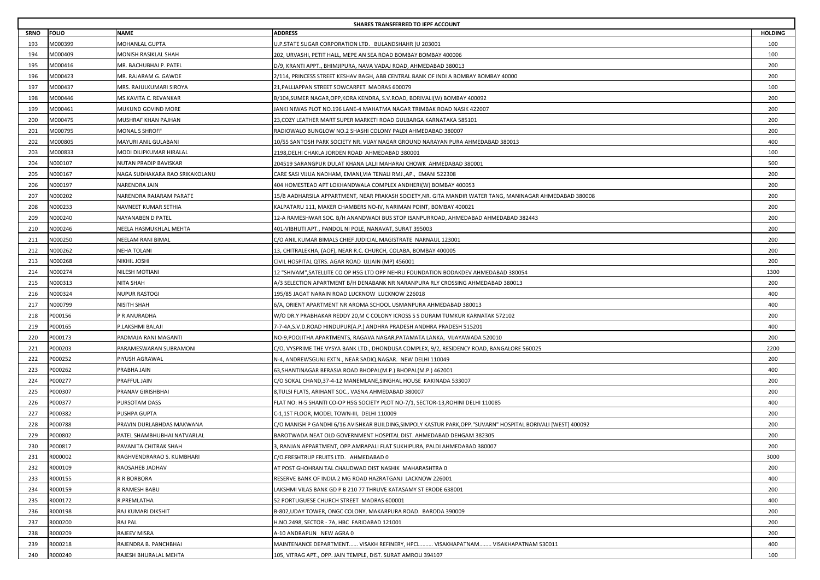|             | SHARES TRANSFERRED TO IEPF ACCOUNT |                                |                                                                                                             |                |  |
|-------------|------------------------------------|--------------------------------|-------------------------------------------------------------------------------------------------------------|----------------|--|
| <b>SRNO</b> | <b>FOLIO</b>                       | NAME                           | <b>ADDRESS</b>                                                                                              | <b>HOLDING</b> |  |
| 193         | M000399                            | MOHANLAL GUPTA                 | U.P.STATE SUGAR CORPORATION LTD. BULANDSHAHR (U 203001                                                      | 100            |  |
| 194         | A000409                            | MONISH RASIKLAL SHAH           | 202, URVASHI, PETIT HALL, MEPE AN SEA ROAD BOMBAY BOMBAY 400006                                             | 100            |  |
| 195         | VI000416                           | MR. BACHUBHAI P. PATEL         | D/9, KRANTI APPT., BHIMJIPURA, NAVA VADAJ ROAD, AHMEDABAD 380013                                            | 200            |  |
| 196         | M000423                            | MR. RAJARAM G. GAWDE           | 2/114, PRINCESS STREET KESHAV BAGH, ABB CENTRAL BANK OF INDI A BOMBAY BOMBAY 40000                          | 200            |  |
| 197         | M000437                            | MRS. RAJULKUMARI SIROYA        | 21, PALLIAPPAN STREET SOWCARPET MADRAS 600079                                                               | 100            |  |
| 198         | M000446                            | MS.KAVITA C. REVANKAR          | B/104,SUMER NAGAR,OPP,KORA KENDRA, S.V.ROAD, BORIVALI(W) BOMBAY 400092                                      | 200            |  |
| 199         | A000461                            | MUKUND GOVIND MORE             | JANKI NIWAS PLOT NO.196 LANE-4 MAHATMA NAGAR TRIMBAK ROAD NASIK 422007                                      | 200            |  |
| 200         | M000475                            | MUSHRAF KHAN PAJHAN            | 23,COZY LEATHER MART SUPER MARKETI ROAD GULBARGA KARNATAKA 585101                                           | 200            |  |
| 201         | M000795                            | MONAL S SHROFF                 | RADIOWALO BUNGLOW NO.2 SHASHI COLONY PALDI AHMEDABAD 380007                                                 | 200            |  |
| 202         | VI000805                           | MAYURI ANIL GULABANI           | 10/55 SANTOSH PARK SOCIETY NR. VIJAY NAGAR GROUND NARAYAN PURA AHMEDABAD 380013                             | 400            |  |
| 203         | M000833                            | MODI DILIPKUMAR HIRALAL        | 2198, DELHI CHAKLA JORDEN ROAD AHMEDABAD 380001                                                             | 100            |  |
| 204         | N000107                            | NUTAN PRADIP BAVISKAR          | 204519 SARANGPUR DULAT KHANA LALJI MAHARAJ CHOWK AHMEDABAD 380001                                           | 500            |  |
| 205         | N000167                            | NAGA SUDHAKARA RAO SRIKAKOLANU | CARE SASI VIJUA NADHAM, EMANI,VIA TENALI RMJ.,AP., EMANI 522308                                             | 200            |  |
| 206         | N000197                            | NARENDRA JAIN                  | 404 HOMESTEAD APT LOKHANDWALA COMPLEX ANDHERI(W) BOMBAY 400053                                              | 200            |  |
| 207         | N000202                            | NARENDRA RAJARAM PARATE        | 15/B AADHARSILA APPARTMENT, NEAR PRAKASH SOCIETY,NR. GITA MANDIR WATER TANG, MANINAGAR AHMEDABAD 380008     | 200            |  |
| 208         | V000233                            | NAVNEET KUMAR SETHIA           | KALPATARU 111, MAKER CHAMBERS NO-IV, NARIMAN POINT, BOMBAY 400021                                           | 200            |  |
| 209         | N000240                            | NAYANABEN D PATEL              | 12-A RAMESHWAR SOC. B/H ANANDWADI BUS STOP ISANPURROAD, AHMEDABAD AHMEDABAD 382443                          | 200            |  |
| 210         | N000246                            | NEELA HASMUKHLAL MEHTA         | 401-VIBHUTI APT., PANDOL NI POLE, NANAVAT, SURAT 395003                                                     | 200            |  |
| 211         | N000250                            | NEELAM RANI BIMAL              | C/O ANIL KUMAR BIMALS CHIEF JUDICIAL MAGISTRATE NARNAUL 123001                                              | 200            |  |
| 212         | V000262                            | NEHA TOLANI                    | 13, CHITRALEKHA, (AOF), NEAR R.C. CHURCH, COLABA, BOMBAY 400005                                             | 200            |  |
| 213         | <b>V000268</b>                     | NIKHIL JOSHI                   | CIVIL HOSPITAL QTRS. AGAR ROAD UJJAIN (MP) 456001                                                           | 200            |  |
| 214         | N000274                            | NILESH MOTIANI                 | 12 "SHIVAM", SATELLITE CO OP HSG LTD OPP NEHRU FOUNDATION BODAKDEV AHMEDABAD 380054                         | 1300           |  |
| 215         | N000313                            | NITA SHAH                      | A/3 SELECTION APARTMENT B/H DENABANK NR NARANPURA RLY CROSSING AHMEDABAD 380013                             | 200            |  |
| 216         | <b>V000324</b>                     | NUPUR RASTOGI                  | 195/85 JAGAT NARAIN ROAD LUCKNOW LUCKNOW 226018                                                             | 400            |  |
| 217         | V000799                            | NISITH SHAH                    | 6/A, ORIENT APARTMENT NR AROMA SCHOOL USMANPURA AHMEDABAD 380013                                            | 400            |  |
| 218         | P000156                            | P R ANURADHA                   | W/O DR.Y PRABHAKAR REDDY 20,M C COLONY ICROSS S S DURAM TUMKUR KARNATAK 572102                              | 200            |  |
| 219         | P000165                            | P.LAKSHMI BALAJI               | 7-7-4A,S.V.D.ROAD HINDUPUR(A.P.) ANDHRA PRADESH ANDHRA PRADESH 515201                                       | 400            |  |
| 220         | P000173                            | PADMAJA RANI MAGANTI           | NO-9, POOJITHA APARTMENTS, RAGAVA NAGAR, PATAMATA LANKA, VIJAYAWADA 520010                                  | 200            |  |
| 221         | 2000203                            | PARAMESWARAN SUBRAMONI         | C/O, VYSPRIME THE VYSYA BANK LTD., DHONDUSA COMPLEX, 9/2, RESIDENCY ROAD, BANGALORE 560025                  | 2200           |  |
| 222         | P000252                            | PIYUSH AGRAWAL                 | N-4, ANDREWSGUNJ EXTN., NEAR SADIQ NAGAR. NEW DELHI 110049                                                  | 200            |  |
| 223         | P000262                            | PRABHA JAIN                    | 63, SHANTINAGAR BERASIA ROAD BHOPAL(M.P.) BHOPAL(M.P.) 462001                                               | 400            |  |
| 224         | P000277                            | PRAFFUL JAIN                   | C/O SOKAL CHAND,37-4-12 MANEMLANE,SINGHAL HOUSE KAKINADA 533007                                             | 200            |  |
| 225         | P000307                            | PRANAV GIRISHBHAI              | 8, TULSI FLATS, ARIHANT SOC., VASNA AHMEDABAD 380007                                                        | 200            |  |
| 226         | P000377                            | PURSOTAM DASS                  | FLAT NO: H-5 SHANTI CO-OP HSG SOCIETY PLOT NO-7/1, SECTOR-13, ROHINI DELHI 110085                           | 400            |  |
| 227         | P000382                            | PUSHPA GUPTA                   | C-1,1ST FLOOR, MODEL TOWN-III, DELHI 110009                                                                 | 200            |  |
| 228         | P000788                            | PRAVIN DURLABHDAS MAKWANA      | C/O MANISH P GANDHI 6/16 AVISHKAR BUILDING,SIMPOLY KASTUR PARK,OPP."SUVARN" HOSPITAL BORIVALI [WEST] 400092 | 200            |  |
| 229         | P000802                            | PATEL SHAMBHUBHAI NATVARLAL    | BAROTWADA NEAT OLD GOVERNMENT HOSPITAL DIST. AHMEDABAD DEHGAM 382305                                        | 200            |  |
| 230         | 2000817                            | PAVANITA CHITRAK SHAH          | ), RANJAN APPARTMENT, OPP.AMRAPALI FLAT SUKHIPURA, PALDI AHMEDABAD 380007                                   | 200            |  |
| 231         | R000002                            | RAGHVENDRARAO S. KUMBHARI      | C/O.FRESHTRUP FRUITS LTD. AHMEDABAD 0                                                                       | 3000           |  |
| 232         | R000109                            | RAOSAHEB JADHAV                | AT POST GHOHRAN TAL CHAUDWAD DIST NASHIK MAHARASHTRA 0                                                      | 200            |  |
| 233         | R000155                            | R R BORBORA                    | RESERVE BANK OF INDIA 2 MG ROAD HAZRATGANJ LACKNOW 226001                                                   | 400            |  |
| 234         | R000159                            | R RAMESH BABU                  | LAKSHMI VILAS BANK GD P B 210 77 THRUVE KATASAMY ST ERODE 638001                                            | 200            |  |
| 235         | R000172                            | R.PREMLATHA                    | 52 PORTUGUESE CHURCH STREET MADRAS 600001                                                                   | 400            |  |
| 236         | R000198                            | RAJ KUMARI DIKSHIT             | B-802, UDAY TOWER, ONGC COLONY, MAKARPURA ROAD. BARODA 390009                                               | 200            |  |
| 237         | R000200                            | RAJ PAL                        | H.NO.2498, SECTOR - 7A, HBC FARIDABAD 121001                                                                | 200            |  |
| 238         | R000209                            | RAJEEV MISRA                   | A-10 ANDRAPUN NEW AGRA 0                                                                                    | 200            |  |
| 239         | R000218                            | RAJENDRA B. PANCHBHAI          | MAINTENANCE DEPARTMENT VISAKH REFINERY, HPCL VISAKHAPATNAM VISAKHAPATNAM 530011                             | 400            |  |
| 240         | R000240                            | RAJESH BHURALAL MEHTA          | 105, VITRAG APT., OPP. JAIN TEMPLE, DIST. SURAT AMROLI 394107                                               | 100            |  |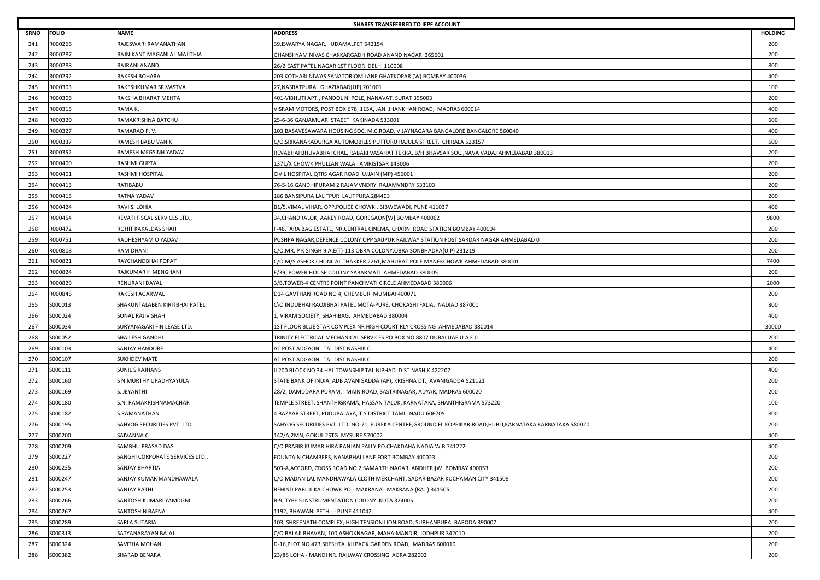|             | SHARES TRANSFERRED TO IEPF ACCOUNT |                                 |                                                                                                           |                |  |
|-------------|------------------------------------|---------------------------------|-----------------------------------------------------------------------------------------------------------|----------------|--|
| <b>SRNO</b> | <b>FOLIO</b>                       | NAME                            | <b>ADDRESS</b>                                                                                            | <b>HOLDING</b> |  |
| 241         | R000266                            | RAJESWARI RAMANATHAN            | 39, ISWARYA NAGAR, UDAMALPET 642154                                                                       | 200            |  |
| 242         | 1000287                            | RAJNIKANT MAGANLAL MAJITHIA     | GHANSHYAM NIVAS CHAKKARGADH ROAD ANAND NAGAR 365601                                                       | 200            |  |
| 243         | 3000288                            | RAJRANI ANAND                   | 26/2 EAST PATEL NAGAR 1ST FLOOR DELHI 110008                                                              | 800            |  |
| 244         | R000292                            | RAKESH BOHARA                   | 203 KOTHARI NIWAS SANATORIOM LANE GHATKOPAR (W) BOMBAY 400036                                             | 400            |  |
| 245         | R000303                            | RAKESHKUMAR SRIVASTVA           | 27, NASRATPURA GHAZIABAD[UP] 201001                                                                       | 100            |  |
| 246         | 3000306                            | RAKSHA BHARAT MEHTA             | 401-VIBHUTI APT., PANDOL NI POLE, NANAVAT, SURAT 395003                                                   | 200            |  |
| 247         | 1000315                            | RAMA K.                         | /ISRAM MOTORS, POST BOX 678, 115A, JANI JHANKHAN ROAD, MADRAS 600014                                      | 400            |  |
| 248         | R000320                            | RAMAKRISHNA BATCHU              | 25-6-36 GANJAMUARI STAEET KAKINADA 533001                                                                 | 600            |  |
| 249         | 3000327                            | RAMARAO P. V.                   | 103,BASAVESAWARA HOUSING SOC. M.C.ROAD, VIJAYNAGARA BANGALORE BANGALORE 560040                            | 400            |  |
| 250         | 1000337                            | RAMESH BABU VANIK               | C/O.SRIKANAKADURGA AUTOMOBILES PUTTURU RAJULA STREET, CHIRALA 523157                                      | 600            |  |
| 251         | 3000352                            | RAMESH MEGSINH YADAV            | REVABHAI BHUVABHAI CHAL, RABARI VASAHAT TEKRA, B/H BHAVSAR SOC.,NAVA VADAJ AHMEDABAD 380013               | 200            |  |
| 252         | R000400                            | RASHMI GUPTA                    | 1371/X CHOWK PHULLAN WALA AMRISTSAR 143006                                                                | 200            |  |
| 253         | 3000401                            | RASHMI HOSPITAL                 | CIVIL HOSPITAL QTRS AGAR ROAD UJJAIN (MP) 456001                                                          | 200            |  |
| 254         | 3000413                            | RATIBABU                        | 76-5-16 GANDHIPURAM 2 RAJAMVNDRY RAJAMVNDRY 533103                                                        | 200            |  |
| 255         | 3000415                            | RATNA YADAV                     | 186 BANSIPURA LALITPUR LALITPURA 284403                                                                   | 200            |  |
| 256         | R000424                            | RAVI S. LOHIA                   | B1/5,VIMAL VIHAR, OPP.POLICE CHOWKI, BIBWEWADI, PUNE 411037                                               | 400            |  |
| 257         | R000454                            | REVATI FISCAL SERVICES LTD.,    | 34,CHANDRALOK, AAREY ROAD, GOREGAON[W] BOMBAY 400062                                                      | 9800           |  |
| 258         | R000472                            | ROHIT KAKALDAS SHAH             | -46,TARA BAG ESTATE, NR.CENTRAL CINEMA, CHARNI ROAD STATION BOMBAY 400004                                 | 200            |  |
| 259         | R000751                            | RADHESHYAM O YADAV              | PUSHPA NAGAR,DEFENCE COLONY OPP SAIJPUR RAILWAY STATION POST SARDAR NAGAR AHMEDABAD 0                     | 200            |  |
| 260         | 3000808                            | RAM DHANI                       | C/O.MR. P K SINGH 9.A.E(T)-113 OBRA COLONY,OBRA SONBHADRA(U.P) 231219                                     | 200            |  |
| 261         | R000821                            | RAYCHANDBHAI POPAT              | C/O.M/S ASHOK CHUNILAL THAKKER 2261,MAHURAT POLE MANEKCHOWK AHMEDABAD 380001                              | 7400           |  |
| 262         | 3000824                            | RAJKUMAR H MENGHANI             | E/39, POWER HOUSE COLONY SABARMATI AHMEDABAD 380005                                                       | 200            |  |
| 263         | 3000829                            | RENURANI DAYAL                  | 3/B, TOWER-4 CENTRE POINT PANCHVATI CIRCLE AHMEDABAD 380006                                               | 2000           |  |
| 264         | 3000846                            | RAKESH AGARWAL                  | D14 GAVTHAN ROAD NO 4, CHEMBUR MUMBAI 400071                                                              | 200            |  |
| 265         | S000013                            | SHAKUNTALABEN KIRITBHAI PATEL   | C\O INDUBHAI RAOJIBHAI PATEL MOTA-PURE, CHOKASHI FALIA,  NADIAD 387001                                    | 800            |  |
| 266         | S000024                            | SONAL RAJIV SHAH                | I, VIRAM SOCIETY, SHAHIBAG, AHMEDABAD 380004                                                              | 400            |  |
| 267         | S000034                            | SURYANAGARI FIN LEASE LTD.      | 1ST FLOOR BLUE STAR COMPLEX NR HIGH COURT RLY CROSSING AHMEDABAD 380014                                   | 30000          |  |
| 268         | S000052                            | SHAILESH GANDHI                 | TRINITY ELECTRICAL MECHANICAL SERVICES PO BOX NO 8807 DUBAI UAE U A E 0                                   | 200            |  |
| 269         | 5000103                            | SANJAY HANDORE                  | AT POST ADGAON TAL DIST NASHIK 0                                                                          | 400            |  |
| 270         | S000107                            | SUKHDEV MATE                    | AT POST ADGAON TAL DIST NASHIK 0                                                                          | 200            |  |
| 271         | S000111                            | SUNIL S RAJHANS                 | I 200 BLOCK NO 34 HAL TOWNSHIP TAL NIPHAD DIST NASHIK 422207                                              | 400            |  |
| 272         | S000160                            | S N MURTHY UPADHYAYULA          | STATE BANK OF INDIA, ADB AVANIGADDA (AP), KRISHNA DT., AVANIGADDA 521121                                  | 200            |  |
| 273         | S000169                            | S. JEYANTHI                     | 28/2, DAMDDARA PURAM, I MAIN ROAD, SASTRINAGAR, ADYAR, MADRAS 600020                                      | 200            |  |
| 274         | S000180                            | S.N. RAMAKRISHNAMACHAR          | TEMPLE STREET, SHANTHIGRAMA, HASSAN TALUK, KARNATAKA, SHANTHIGRAMA 573220                                 | 100            |  |
| 275         | S000182                            | S.RAMANATHAN                    | 4 BAZAAR STREET, PUDUPALAYA, T.S.DISTRICT TAMIL NADU 606705                                               | 800            |  |
| 276         | S000195                            | SAHYOG SECURITIES PVT. LTD.     | SAHYOG SECURITIES PVT. LTD. NO-71, EUREKA CENTRE,GROUND FL KOPPIKAR ROAD,HUBLI,KARNATAKA KARNATAKA 580020 | 200            |  |
| 277         | S000200                            | SAIVANNA C                      | 142/A,2MN, GOKUL 2STG MYSURE 570002                                                                       | 400            |  |
| 278         | 6000209                            | SAMBHU PRASAD DAS               | C/O PRABIR KUMAR HIRA RANJAN PALLY PO.CHAKDAHA NADIA W.B 741222                                           | 400            |  |
| 279         | S000227                            | SANGHI CORPORATE SERVICES LTD., | OUNTAIN CHAMBERS, NANABHAI LANE FORT BOMBAY 400023                                                        | 200            |  |
| 280         | S000235                            | SANJAY BHARTIA                  | 503-A,ACCORD, CROSS ROAD NO.2,SAMARTH NAGAR, ANDHERI[W] BOMBAY 400053                                     | 200            |  |
| 281         | S000247                            | SANJAY KUMAR MANDHAWALA         | C/O MADAN LAL MANDHAWALA CLOTH MERCHANT, SADAR BAZAR KUCHAMAN CITY 341508                                 | 200            |  |
| 282         | S000253                            | SANJAY RATHI                    | BEHIND PABUJI KA CHOWK PO:- MAKRANA. MAKRANA (RAJ.) 341505                                                | 200            |  |
| 283         | S000266                            | SANTOSH KUMARI YAMDGNI          | B-9, TYPE 5 INSTRUMENTATION COLONY KOTA 324005                                                            | 200            |  |
| 284         | S000267                            | SANTOSH N BAFNA                 | 1192, BHAWANI PETH - - PUNE 411042                                                                        | 400            |  |
| 285         | S000289                            | SARLA SUTARIA                   | 103, SHREENATH COMPLEX, HIGH TENSION LION ROAD, SUBHANPURA. BARODA 390007                                 | 200            |  |
| 286         | S000313                            | SATYANARAYAN BAJAJ              | C/O BALAJI BHAVAN, 100,ASHOKNAGAR, MAHA MANDIR, JODHPUR 342010                                            | 200            |  |
| 287         | S000324                            | SAVITHA MOHAN                   | D-16,PLOT NO.473,SRESHTA, KILPAGK GARDEN ROAD, MADRAS 600010                                              | 200            |  |
| 288         | S000382                            | SHARAD BENARA                   | 23/88 LOHA - MANDI NR. RAILWAY CROSSING AGRA 282002                                                       | 200            |  |
|             |                                    |                                 |                                                                                                           |                |  |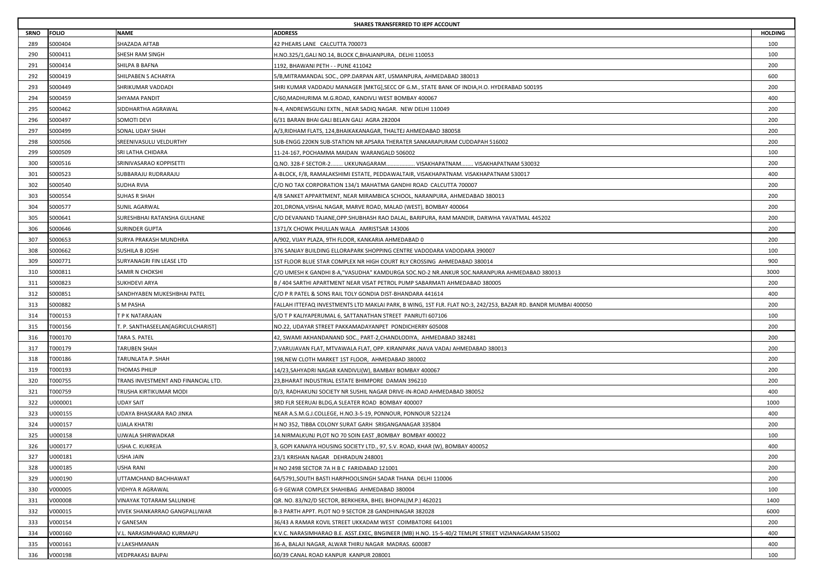|             | SHARES TRANSFERRED TO IEPF ACCOUNT |                                     |                                                                                                                |                |  |
|-------------|------------------------------------|-------------------------------------|----------------------------------------------------------------------------------------------------------------|----------------|--|
| <b>SRNO</b> | <b>FOLIO</b>                       | NAME                                | <b>ADDRESS</b>                                                                                                 | <b>HOLDING</b> |  |
| 289         | S000404                            | SHAZADA AFTAB                       | 42 PHEARS LANE CALCUTTA 700073                                                                                 | 100            |  |
| 290         | S000411                            | SHESH RAM SINGH                     | H.NO.325/1,GALI NO.14, BLOCK C,BHAJANPURA, DELHI 110053                                                        | 100            |  |
| 291         | S000414                            | SHILPA B BAFNA                      | 1192, BHAWANI PETH - - PUNE 411042                                                                             | 200            |  |
| 292         | S000419                            | SHILPABEN S ACHARYA                 | 5/B, MITRAMANDAL SOC., OPP.DARPAN ART, USMANPURA, AHMEDABAD 380013                                             | 600            |  |
| 293         | S000449                            | SHRIKUMAR VADDADI                   | SHRI KUMAR VADDADU MANAGER [MKTG],SECC OF G.M., STATE BANK OF INDIA,H.O. HYDERABAD 500195                      | 200            |  |
| 294         | S000459                            | SHYAMA PANDIT                       | C/60, MADHURIMA M.G.ROAD, KANDIVLI WEST BOMBAY 400067                                                          | 400            |  |
| 295         | S000462                            | SIDDHARTHA AGRAWAL                  | N-4, ANDREWSGUNJ EXTN., NEAR SADIQ NAGAR. NEW DELHI 110049                                                     | 200            |  |
| 296         | S000497                            | SOMOTI DEVI                         | 6/31 BARAN BHAI GALI BELAN GALI AGRA 282004                                                                    | 200            |  |
| 297         | S000499                            | SONAL UDAY SHAH                     | A/3,RIDHAM FLATS, 124,BHAIKAKANAGAR, THALTEJ AHMEDABAD 380058                                                  | 200            |  |
| 298         | 5000506                            | SREENIVASULU VELDURTHY              | SUB-ENGG 220KN SUB-STATION NR APSARA THERATER SANKARAPURAM CUDDAPAH 516002                                     | 200            |  |
| 299         | S000509                            | SRI LATHA CHIDARA                   | 11-24-167, POCHAMMA MAIDAN WARANGALD 506002                                                                    | 100            |  |
| 300         | S000516                            | SRINIVASARAO KOPPISETTI             | Q.NO. 328-F SECTOR-2 UKKUNAGARAM VISAKHAPATNAM VISAKHAPATNAM 530032                                            | 200            |  |
| 301         | S000523                            | SUBBARAJU RUDRARAJU                 | A-BLOCK, F/8, RAMALAKSHIMI ESTATE, PEDDAWALTAIR, VISAKHAPATNAM. VISAKHAPATNAM 530017                           | 400            |  |
| 302         | S000540                            | SUDHA RVIA                          | C/O NO TAX CORPORATION 134/1 MAHATMA GANDHI ROAD CALCUTTA 700007                                               | 200            |  |
| 303         | S000554                            | SUHAS R SHAH                        | 4/8 SANKET APPARTMENT, NEAR MIRAMBICA SCHOOL, NARANPURA, AHMEDABAD 380013                                      | 200            |  |
| 304         | S000577                            | SUNIL AGARWAL                       | 201, DRONA, VISHAL NAGAR, MARVE ROAD, MALAD (WEST), BOMBAY 400064                                              | 200            |  |
| 305         | S000641                            | SURESHBHAI RATANSHA GULHANE         | C/O DEVANAND TAJANE,OPP.SHUBHASH RAO DALAL, BARIPURA, RAM MANDIR, DARWHA YAVATMAL 445202                       | 200            |  |
| 306         | S000646                            | SURINDER GUPTA                      | 1371/X CHOWK PHULLAN WALA AMRISTSAR 143006                                                                     | 200            |  |
| 307         | S000653                            | SURYA PRAKASH MUNDHRA               | A/902, VIJAY PLAZA, 9TH FLOOR, KANKARIA AHMEDABAD 0                                                            | 200            |  |
| 308         | S000662                            | SUSHILA B JOSHI                     | 376 SANJAY BUILDING ELLORAPARK SHOPPING CENTRE VADODARA VADODARA 390007                                        | 100            |  |
| 309         | S000771                            | SURYANAGRI FIN LEASE LTD            | 1ST FLOOR BLUE STAR COMPLEX NR HIGH COURT RLY CROSSING  AHMEDABAD 380014                                       | 900            |  |
| 310         | 5000811                            | SAMIR N CHOKSHI                     | C/O UMESH K GANDHI 8-A,"VASUDHA" KAMDURGA SOC.NO-2 NR.ANKUR SOC.NARANPURA AHMEDABAD 380013                     | 3000           |  |
| 311         | S000823                            | SUKHDEVI ARYA                       | B / 404 SARTHI APARTMENT NEAR VISAT PETROL PUMP SABARMATI AHMEDABAD 380005                                     | 200            |  |
| 312         | 5000851                            | SANDHYABEN MUKESHBHAI PATEL         | C/O P R PATEL & SONS RAIL TOLY GONDIA DIST-BHANDARA 441614                                                     | 400            |  |
| 313         | S000882                            | S M PASHA                           | FALLAH ITTEFAQ INVESTMENTS LTD MAKLAI PARK, B WING, 1ST FLR. FLAT NO:3, 242/253, BAZAR RD. BANDR MUMBAI 400050 | 200            |  |
| 314         | T000153                            | T P K NATARAJAN                     | S/O T P KALIYAPERUMAL 6, SATTANATHAN STREET PANRUTI 607106                                                     | 100            |  |
| 315         | T000156                            | T. P. SANTHASEELAN[AGRICULCHARIST]  | NO.22, UDAYAR STREET PAKKAMADAYANPET PONDICHERRY 605008                                                        | 200            |  |
| 316         | T000170                            | TARA S. PATEL                       | 42, SWAMI AKHANDANAND SOC., PART-2, CHANDLODIYA, AHMEDABAD 382481                                              | 200            |  |
| 317         | F000179                            | TARUBEN SHAH                        | 7,VARUJAVAN FLAT, MTVAWALA FLAT, OPP. KIRANPARK ,NAVA VADAJ AHMEDABAD 380013                                   | 200            |  |
| 318         | T000186                            | TARUNLATA P. SHAH                   | 198,NEW CLOTH MARKET 1ST FLOOR, AHMEDABAD 380002                                                               | 200            |  |
| 319         | T000193                            | THOMAS PHILIP                       | 14/23,SAHYADRI NAGAR KANDIVLI(W), BAMBAY BOMBAY 400067                                                         | 200            |  |
| 320         | T000755                            | TRANS INVESTMENT AND FINANCIAL LTD. | 23, BHARAT INDUSTRIAL ESTATE BHIMPORE DAMAN 396210                                                             | 200            |  |
| 321         | T000759                            | TRUSHA KIRTIKUMAR MODI              | D/3, RADHAKUNJ SOCIETY NR SUSHIL NAGAR DRIVE-IN-ROAD AHMEDABAD 380052                                          | 400            |  |
| 322         | U000001                            | UDAY SAIT                           | 3RD FLR SEERUAI BLDG, A SLEATER ROAD BOMBAY 400007                                                             | 1000           |  |
| 323         | U000155                            | UDAYA BHASKARA RAO JINKA            | NEAR A.S.M.G.J.COLLEGE, H.NO.3-5-19, PONNOUR, PONNOUR 522124                                                   | 400            |  |
| 324         | J000157                            | JJALA KHATRI                        | H NO 352, TIBBA COLONY SURAT GARH SRIGANGANAGAR 335804                                                         | 200            |  |
| 325         | U000158                            | UJWALA SHIRWADKAR                   | 14.NIRMALKUNJ PLOT NO 70 SOIN EAST , BOMBAY BOMBAY 400022                                                      | 100            |  |
| 326         | J000177                            | JSHA C. KUKREJA                     | , GOPI KANAIYA HOUSING SOCIETY LTD., 97, S.V. ROAD, KHAR (W), BOMBAY 400052                                    | 400            |  |
| 327         | U000181                            | USHA JAIN                           | 23/1 KRISHAN NAGAR DEHRADUN 248001                                                                             | 200            |  |
| 328         | U000185                            | USHA RANI                           | H NO 2498 SECTOR 7A H B C FARIDABAD 121001                                                                     | 200            |  |
| 329         | U000190                            | UTTAMCHAND BACHHAWAT                | 64/5791, SOUTH BASTI HARPHOOLSINGH SADAR THANA DELHI 110006                                                    | 200            |  |
| 330         | V000005                            | VIDHYA R AGRAWAL                    | G-9 GEWAR COMPLEX SHAHIBAG AHMEDABAD 380004                                                                    | 100            |  |
| 331         | V000008                            | VINAYAK TOTARAM SALUNKHE            | QR. NO. 83/N2/D SECTOR, BERKHERA, BHEL BHOPAL(M.P.) 462021                                                     | 1400           |  |
| 332         | V000015                            | VIVEK SHANKARRAO GANGPALLIWAR       | B-3 PARTH APPT. PLOT NO 9 SECTOR 28 GANDHINAGAR 382028                                                         | 6000           |  |
| 333         | V000154                            | / GANESAN                           | 36/43 A RAMAR KOVIL STREET UKKADAM WEST COIMBATORE 641001                                                      | 200            |  |
| 334         | V000160                            | V.L. NARASIMHARAO KURMAPU           | K.V.C. NARASIMHARAO B.E. ASST.EXEC, BNGINEER (MB) H.NO. 15-5-40/2 TEMLPE STREET VIZIANAGARAM 535002            | 400            |  |
| 335         | V000161                            | V.LAKSHMANAN                        | 36-A, BALAJI NAGAR, ALWAR THIRU NAGAR MADRAS. 600087                                                           | 400            |  |
| 336         | V000198                            | VEDPRAKASJ BAJPAI                   | 60/39 CANAL ROAD KANPUR KANPUR 208001                                                                          | 100            |  |